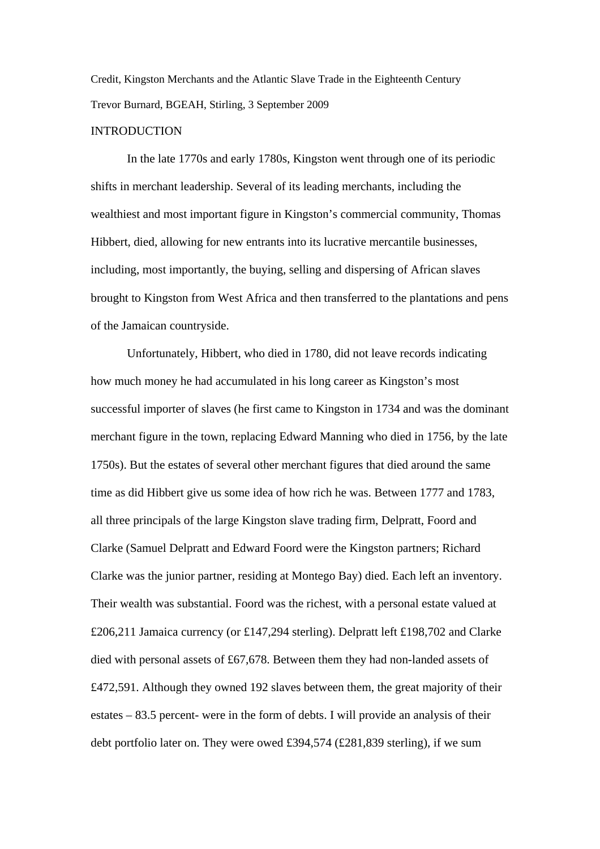Credit, Kingston Merchants and the Atlantic Slave Trade in the Eighteenth Century Trevor Burnard, BGEAH, Stirling, 3 September 2009

## **INTRODUCTION**

 In the late 1770s and early 1780s, Kingston went through one of its periodic shifts in merchant leadership. Several of its leading merchants, including the wealthiest and most important figure in Kingston's commercial community, Thomas Hibbert, died, allowing for new entrants into its lucrative mercantile businesses, including, most importantly, the buying, selling and dispersing of African slaves brought to Kingston from West Africa and then transferred to the plantations and pens of the Jamaican countryside.

 Unfortunately, Hibbert, who died in 1780, did not leave records indicating how much money he had accumulated in his long career as Kingston's most successful importer of slaves (he first came to Kingston in 1734 and was the dominant merchant figure in the town, replacing Edward Manning who died in 1756, by the late 1750s). But the estates of several other merchant figures that died around the same time as did Hibbert give us some idea of how rich he was. Between 1777 and 1783, all three principals of the large Kingston slave trading firm, Delpratt, Foord and Clarke (Samuel Delpratt and Edward Foord were the Kingston partners; Richard Clarke was the junior partner, residing at Montego Bay) died. Each left an inventory. Their wealth was substantial. Foord was the richest, with a personal estate valued at £206,211 Jamaica currency (or £147,294 sterling). Delpratt left £198,702 and Clarke died with personal assets of £67,678. Between them they had non-landed assets of £472,591. Although they owned 192 slaves between them, the great majority of their estates – 83.5 percent- were in the form of debts. I will provide an analysis of their debt portfolio later on. They were owed £394,574 (£281,839 sterling), if we sum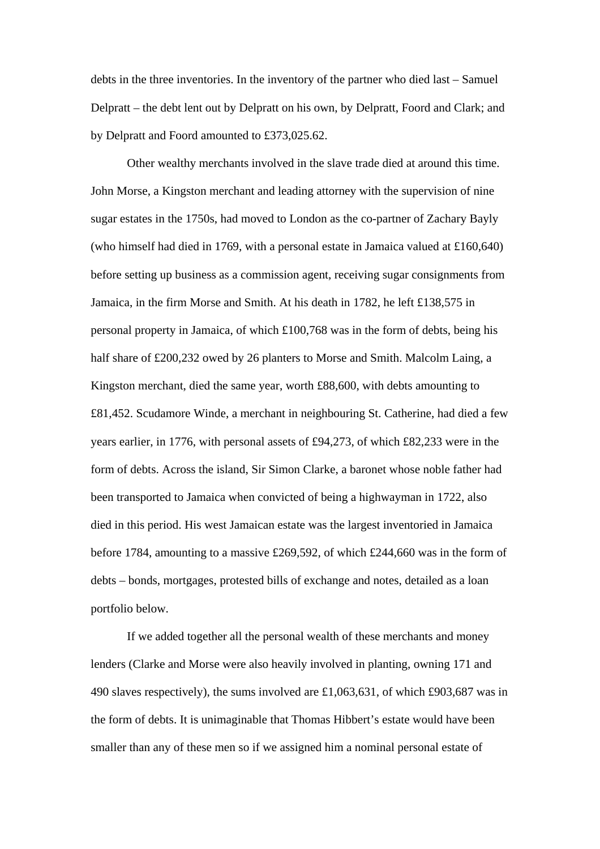debts in the three inventories. In the inventory of the partner who died last – Samuel Delpratt – the debt lent out by Delpratt on his own, by Delpratt, Foord and Clark; and by Delpratt and Foord amounted to £373,025.62.

 Other wealthy merchants involved in the slave trade died at around this time. John Morse, a Kingston merchant and leading attorney with the supervision of nine sugar estates in the 1750s, had moved to London as the co-partner of Zachary Bayly (who himself had died in 1769, with a personal estate in Jamaica valued at £160,640) before setting up business as a commission agent, receiving sugar consignments from Jamaica, in the firm Morse and Smith. At his death in 1782, he left £138,575 in personal property in Jamaica, of which £100,768 was in the form of debts, being his half share of £200,232 owed by 26 planters to Morse and Smith. Malcolm Laing, a Kingston merchant, died the same year, worth £88,600, with debts amounting to £81,452. Scudamore Winde, a merchant in neighbouring St. Catherine, had died a few years earlier, in 1776, with personal assets of £94,273, of which £82,233 were in the form of debts. Across the island, Sir Simon Clarke, a baronet whose noble father had been transported to Jamaica when convicted of being a highwayman in 1722, also died in this period. His west Jamaican estate was the largest inventoried in Jamaica before 1784, amounting to a massive £269,592, of which £244,660 was in the form of debts – bonds, mortgages, protested bills of exchange and notes, detailed as a loan portfolio below.

 If we added together all the personal wealth of these merchants and money lenders (Clarke and Morse were also heavily involved in planting, owning 171 and 490 slaves respectively), the sums involved are £1,063,631, of which £903,687 was in the form of debts. It is unimaginable that Thomas Hibbert's estate would have been smaller than any of these men so if we assigned him a nominal personal estate of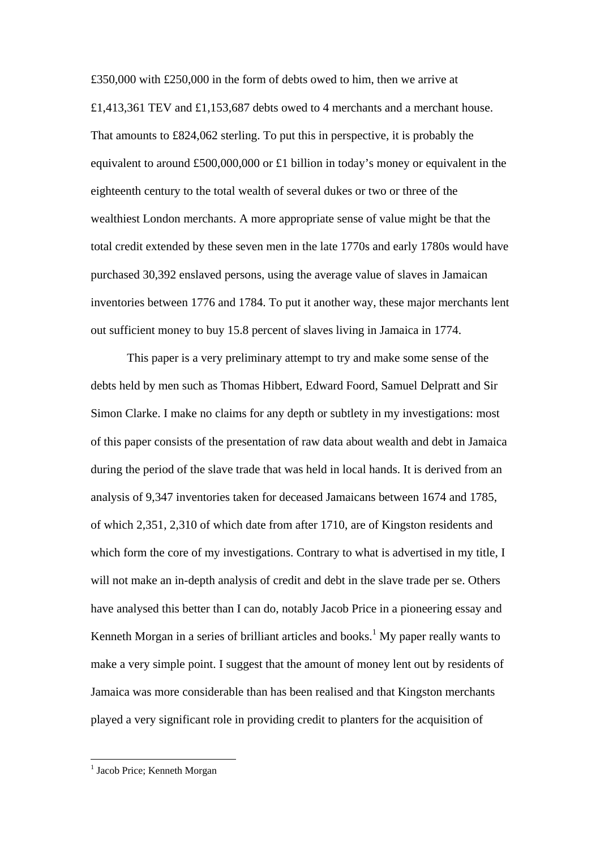£350,000 with £250,000 in the form of debts owed to him, then we arrive at £1,413,361 TEV and £1,153,687 debts owed to 4 merchants and a merchant house. That amounts to £824,062 sterling. To put this in perspective, it is probably the equivalent to around £500,000,000 or £1 billion in today's money or equivalent in the eighteenth century to the total wealth of several dukes or two or three of the wealthiest London merchants. A more appropriate sense of value might be that the total credit extended by these seven men in the late 1770s and early 1780s would have purchased 30,392 enslaved persons, using the average value of slaves in Jamaican inventories between 1776 and 1784. To put it another way, these major merchants lent out sufficient money to buy 15.8 percent of slaves living in Jamaica in 1774.

 This paper is a very preliminary attempt to try and make some sense of the debts held by men such as Thomas Hibbert, Edward Foord, Samuel Delpratt and Sir Simon Clarke. I make no claims for any depth or subtlety in my investigations: most of this paper consists of the presentation of raw data about wealth and debt in Jamaica during the period of the slave trade that was held in local hands. It is derived from an analysis of 9,347 inventories taken for deceased Jamaicans between 1674 and 1785, of which 2,351, 2,310 of which date from after 1710, are of Kingston residents and which form the core of my investigations. Contrary to what is advertised in my title, I will not make an in-depth analysis of credit and debt in the slave trade per se. Others have analysed this better than I can do, notably Jacob Price in a pioneering essay and Kenneth Morgan in a series of brilliant articles and books.<sup>[1](#page-2-0)</sup> My paper really wants to make a very simple point. I suggest that the amount of money lent out by residents of Jamaica was more considerable than has been realised and that Kingston merchants played a very significant role in providing credit to planters for the acquisition of

<span id="page-2-0"></span><sup>&</sup>lt;sup>1</sup> Jacob Price; Kenneth Morgan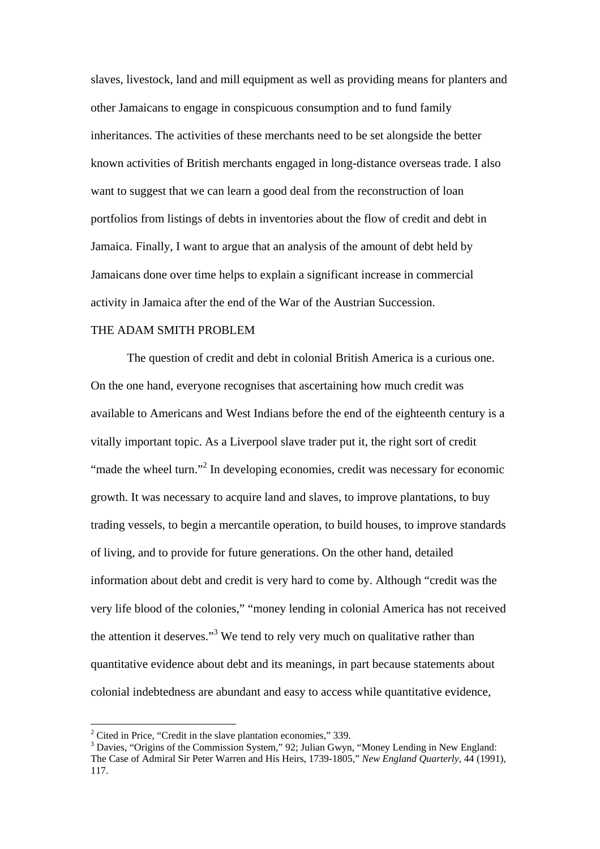slaves, livestock, land and mill equipment as well as providing means for planters and other Jamaicans to engage in conspicuous consumption and to fund family inheritances. The activities of these merchants need to be set alongside the better known activities of British merchants engaged in long-distance overseas trade. I also want to suggest that we can learn a good deal from the reconstruction of loan portfolios from listings of debts in inventories about the flow of credit and debt in Jamaica. Finally, I want to argue that an analysis of the amount of debt held by Jamaicans done over time helps to explain a significant increase in commercial activity in Jamaica after the end of the War of the Austrian Succession.

### THE ADAM SMITH PROBLEM

 The question of credit and debt in colonial British America is a curious one. On the one hand, everyone recognises that ascertaining how much credit was available to Americans and West Indians before the end of the eighteenth century is a vitally important topic. As a Liverpool slave trader put it, the right sort of credit "made the wheel turn."<sup>2</sup> In developing economies, credit was necessary for economic growth. It was necessary to acquire land and slaves, to improve plantations, to buy trading vessels, to begin a mercantile operation, to build houses, to improve standards of living, and to provide for future generations. On the other hand, detailed information about debt and credit is very hard to come by. Although "credit was the very life blood of the colonies," "money lending in colonial America has not received the attention it deserves."<sup>[3](#page-3-1)</sup> We tend to rely very much on qualitative rather than quantitative evidence about debt and its meanings, in part because statements about colonial indebtedness are abundant and easy to access while quantitative evidence,

<span id="page-3-0"></span> $2^2$  Cited in Price, "Credit in the slave plantation economies," 339.

<span id="page-3-1"></span><sup>&</sup>lt;sup>3</sup> Davies, "Origins of the Commission System," 92; Julian Gwyn, "Money Lending in New England: The Case of Admiral Sir Peter Warren and His Heirs, 1739-1805," *New England Quarterly*, 44 (1991), 117.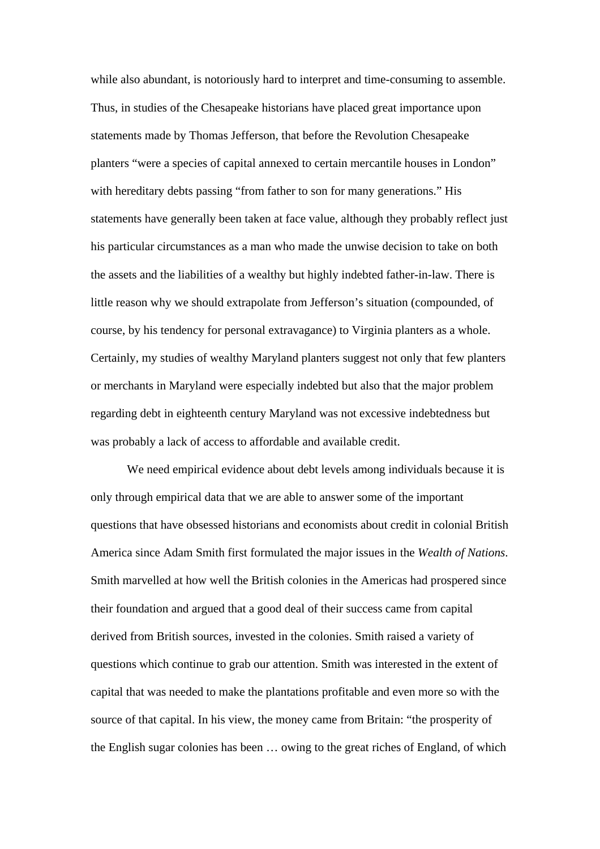while also abundant, is notoriously hard to interpret and time-consuming to assemble. Thus, in studies of the Chesapeake historians have placed great importance upon statements made by Thomas Jefferson, that before the Revolution Chesapeake planters "were a species of capital annexed to certain mercantile houses in London" with hereditary debts passing "from father to son for many generations." His statements have generally been taken at face value, although they probably reflect just his particular circumstances as a man who made the unwise decision to take on both the assets and the liabilities of a wealthy but highly indebted father-in-law. There is little reason why we should extrapolate from Jefferson's situation (compounded, of course, by his tendency for personal extravagance) to Virginia planters as a whole. Certainly, my studies of wealthy Maryland planters suggest not only that few planters or merchants in Maryland were especially indebted but also that the major problem regarding debt in eighteenth century Maryland was not excessive indebtedness but was probably a lack of access to affordable and available credit.

 We need empirical evidence about debt levels among individuals because it is only through empirical data that we are able to answer some of the important questions that have obsessed historians and economists about credit in colonial British America since Adam Smith first formulated the major issues in the *Wealth of Nations*. Smith marvelled at how well the British colonies in the Americas had prospered since their foundation and argued that a good deal of their success came from capital derived from British sources, invested in the colonies. Smith raised a variety of questions which continue to grab our attention. Smith was interested in the extent of capital that was needed to make the plantations profitable and even more so with the source of that capital. In his view, the money came from Britain: "the prosperity of the English sugar colonies has been … owing to the great riches of England, of which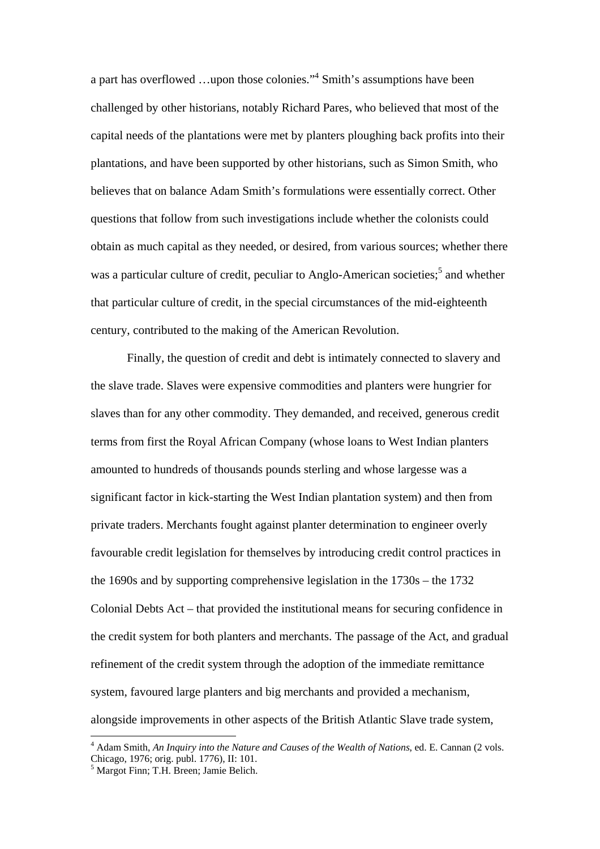a part has overflowed ...upon those colonies."<sup>[4](#page-5-0)</sup> Smith's assumptions have been challenged by other historians, notably Richard Pares, who believed that most of the capital needs of the plantations were met by planters ploughing back profits into their plantations, and have been supported by other historians, such as Simon Smith, who believes that on balance Adam Smith's formulations were essentially correct. Other questions that follow from such investigations include whether the colonists could obtain as much capital as they needed, or desired, from various sources; whether there was a particular culture of credit, peculiar to Anglo-American societies;<sup>[5](#page-5-1)</sup> and whether that particular culture of credit, in the special circumstances of the mid-eighteenth century, contributed to the making of the American Revolution.

Finally, the question of credit and debt is intimately connected to slavery and the slave trade. Slaves were expensive commodities and planters were hungrier for slaves than for any other commodity. They demanded, and received, generous credit terms from first the Royal African Company (whose loans to West Indian planters amounted to hundreds of thousands pounds sterling and whose largesse was a significant factor in kick-starting the West Indian plantation system) and then from private traders. Merchants fought against planter determination to engineer overly favourable credit legislation for themselves by introducing credit control practices in the 1690s and by supporting comprehensive legislation in the 1730s – the 1732 Colonial Debts Act – that provided the institutional means for securing confidence in the credit system for both planters and merchants. The passage of the Act, and gradual refinement of the credit system through the adoption of the immediate remittance system, favoured large planters and big merchants and provided a mechanism, alongside improvements in other aspects of the British Atlantic Slave trade system,

<span id="page-5-0"></span><sup>4</sup> Adam Smith, *An Inquiry into the Nature and Causes of the Wealth of Nations*, ed. E. Cannan (2 vols. Chicago, 1976; orig. publ. 1776), II: 101.

<span id="page-5-1"></span><sup>5</sup> Margot Finn; T.H. Breen; Jamie Belich.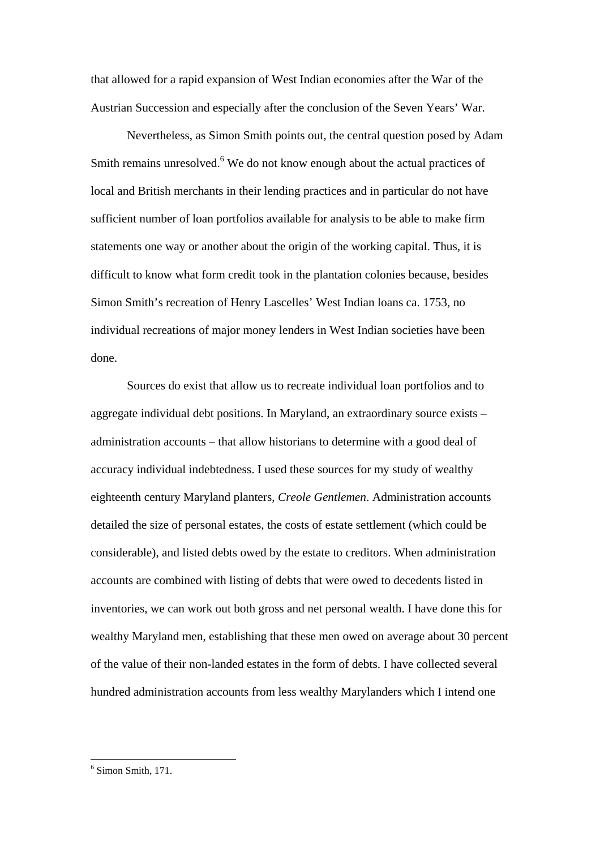that allowed for a rapid expansion of West Indian economies after the War of the Austrian Succession and especially after the conclusion of the Seven Years' War.

 Nevertheless, as Simon Smith points out, the central question posed by Adam Smith remains unresolved.<sup>6</sup> We do not know enough about the actual practices of local and British merchants in their lending practices and in particular do not have sufficient number of loan portfolios available for analysis to be able to make firm statements one way or another about the origin of the working capital. Thus, it is difficult to know what form credit took in the plantation colonies because, besides Simon Smith's recreation of Henry Lascelles' West Indian loans ca. 1753, no individual recreations of major money lenders in West Indian societies have been done.

 Sources do exist that allow us to recreate individual loan portfolios and to aggregate individual debt positions. In Maryland, an extraordinary source exists – administration accounts – that allow historians to determine with a good deal of accuracy individual indebtedness. I used these sources for my study of wealthy eighteenth century Maryland planters, *Creole Gentlemen*. Administration accounts detailed the size of personal estates, the costs of estate settlement (which could be considerable), and listed debts owed by the estate to creditors. When administration accounts are combined with listing of debts that were owed to decedents listed in inventories, we can work out both gross and net personal wealth. I have done this for wealthy Maryland men, establishing that these men owed on average about 30 percent of the value of their non-landed estates in the form of debts. I have collected several hundred administration accounts from less wealthy Marylanders which I intend one

<span id="page-6-0"></span> 6 Simon Smith, 171.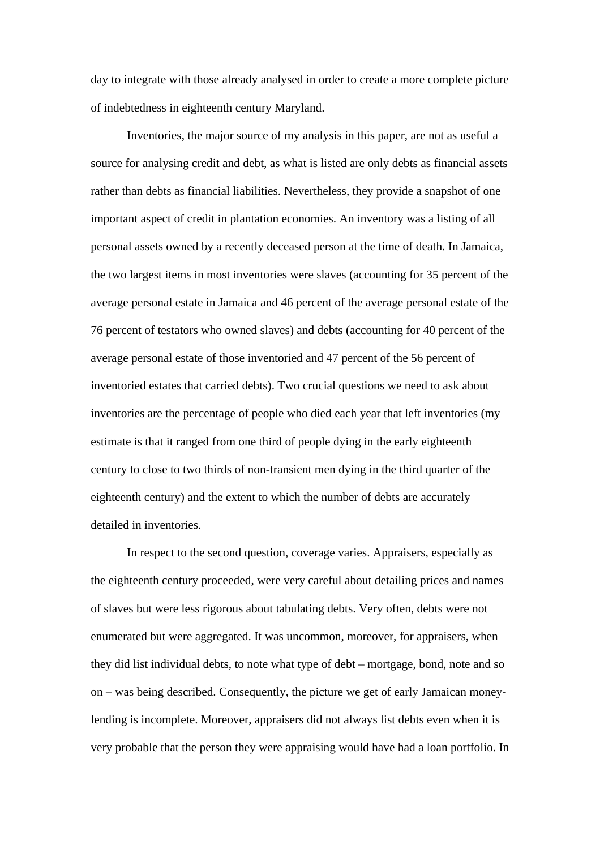day to integrate with those already analysed in order to create a more complete picture of indebtedness in eighteenth century Maryland.

 Inventories, the major source of my analysis in this paper, are not as useful a source for analysing credit and debt, as what is listed are only debts as financial assets rather than debts as financial liabilities. Nevertheless, they provide a snapshot of one important aspect of credit in plantation economies. An inventory was a listing of all personal assets owned by a recently deceased person at the time of death. In Jamaica, the two largest items in most inventories were slaves (accounting for 35 percent of the average personal estate in Jamaica and 46 percent of the average personal estate of the 76 percent of testators who owned slaves) and debts (accounting for 40 percent of the average personal estate of those inventoried and 47 percent of the 56 percent of inventoried estates that carried debts). Two crucial questions we need to ask about inventories are the percentage of people who died each year that left inventories (my estimate is that it ranged from one third of people dying in the early eighteenth century to close to two thirds of non-transient men dying in the third quarter of the eighteenth century) and the extent to which the number of debts are accurately detailed in inventories.

 In respect to the second question, coverage varies. Appraisers, especially as the eighteenth century proceeded, were very careful about detailing prices and names of slaves but were less rigorous about tabulating debts. Very often, debts were not enumerated but were aggregated. It was uncommon, moreover, for appraisers, when they did list individual debts, to note what type of debt – mortgage, bond, note and so on – was being described. Consequently, the picture we get of early Jamaican moneylending is incomplete. Moreover, appraisers did not always list debts even when it is very probable that the person they were appraising would have had a loan portfolio. In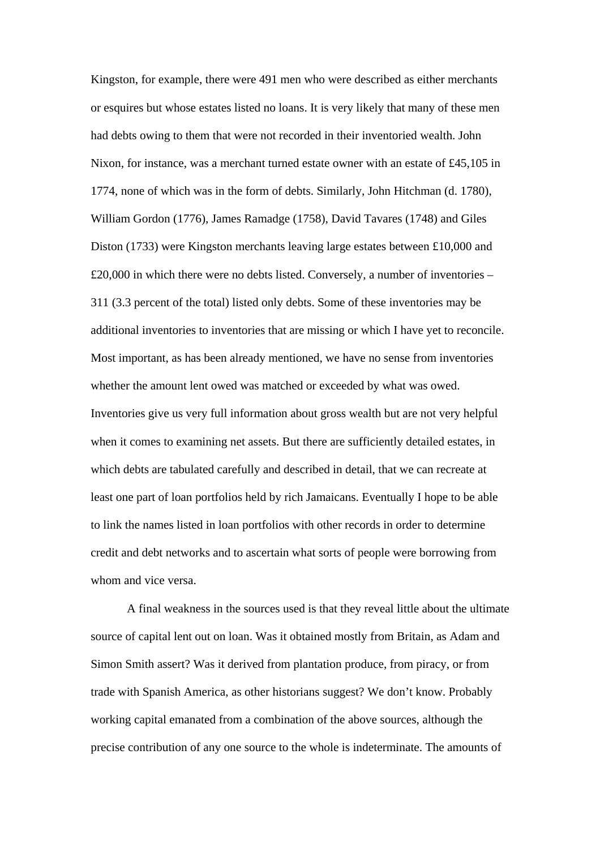Kingston, for example, there were 491 men who were described as either merchants or esquires but whose estates listed no loans. It is very likely that many of these men had debts owing to them that were not recorded in their inventoried wealth. John Nixon, for instance, was a merchant turned estate owner with an estate of £45,105 in 1774, none of which was in the form of debts. Similarly, John Hitchman (d. 1780), William Gordon (1776), James Ramadge (1758), David Tavares (1748) and Giles Diston (1733) were Kingston merchants leaving large estates between £10,000 and £20,000 in which there were no debts listed. Conversely, a number of inventories – 311 (3.3 percent of the total) listed only debts. Some of these inventories may be additional inventories to inventories that are missing or which I have yet to reconcile. Most important, as has been already mentioned, we have no sense from inventories whether the amount lent owed was matched or exceeded by what was owed. Inventories give us very full information about gross wealth but are not very helpful when it comes to examining net assets. But there are sufficiently detailed estates, in which debts are tabulated carefully and described in detail, that we can recreate at least one part of loan portfolios held by rich Jamaicans. Eventually I hope to be able to link the names listed in loan portfolios with other records in order to determine credit and debt networks and to ascertain what sorts of people were borrowing from whom and vice versa.

A final weakness in the sources used is that they reveal little about the ultimate source of capital lent out on loan. Was it obtained mostly from Britain, as Adam and Simon Smith assert? Was it derived from plantation produce, from piracy, or from trade with Spanish America, as other historians suggest? We don't know. Probably working capital emanated from a combination of the above sources, although the precise contribution of any one source to the whole is indeterminate. The amounts of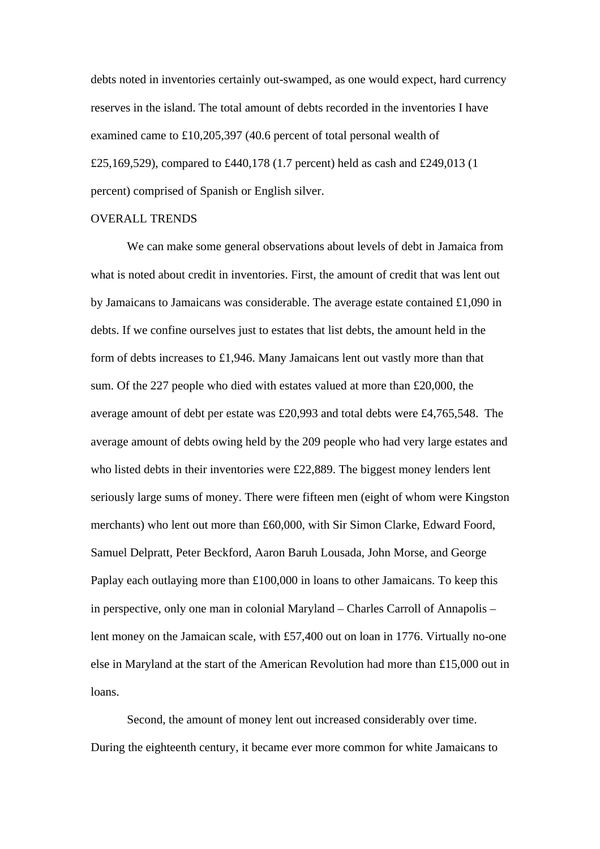debts noted in inventories certainly out-swamped, as one would expect, hard currency reserves in the island. The total amount of debts recorded in the inventories I have examined came to £10,205,397 (40.6 percent of total personal wealth of £25,169,529), compared to £440,178 (1.7 percent) held as cash and £249,013 (1 percent) comprised of Spanish or English silver.

## OVERALL TRENDS

 We can make some general observations about levels of debt in Jamaica from what is noted about credit in inventories. First, the amount of credit that was lent out by Jamaicans to Jamaicans was considerable. The average estate contained £1,090 in debts. If we confine ourselves just to estates that list debts, the amount held in the form of debts increases to £1,946. Many Jamaicans lent out vastly more than that sum. Of the 227 people who died with estates valued at more than £20,000, the average amount of debt per estate was £20,993 and total debts were £4,765,548. The average amount of debts owing held by the 209 people who had very large estates and who listed debts in their inventories were £22,889. The biggest money lenders lent seriously large sums of money. There were fifteen men (eight of whom were Kingston merchants) who lent out more than £60,000, with Sir Simon Clarke, Edward Foord, Samuel Delpratt, Peter Beckford, Aaron Baruh Lousada, John Morse, and George Paplay each outlaying more than £100,000 in loans to other Jamaicans. To keep this in perspective, only one man in colonial Maryland – Charles Carroll of Annapolis – lent money on the Jamaican scale, with £57,400 out on loan in 1776. Virtually no-one else in Maryland at the start of the American Revolution had more than £15,000 out in loans.

Second, the amount of money lent out increased considerably over time. During the eighteenth century, it became ever more common for white Jamaicans to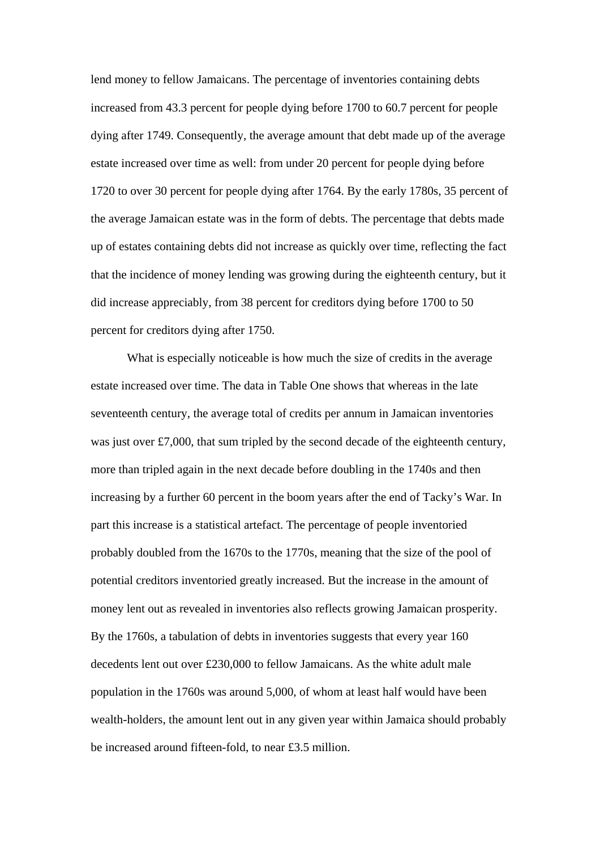lend money to fellow Jamaicans. The percentage of inventories containing debts increased from 43.3 percent for people dying before 1700 to 60.7 percent for people dying after 1749. Consequently, the average amount that debt made up of the average estate increased over time as well: from under 20 percent for people dying before 1720 to over 30 percent for people dying after 1764. By the early 1780s, 35 percent of the average Jamaican estate was in the form of debts. The percentage that debts made up of estates containing debts did not increase as quickly over time, reflecting the fact that the incidence of money lending was growing during the eighteenth century, but it did increase appreciably, from 38 percent for creditors dying before 1700 to 50 percent for creditors dying after 1750.

What is especially noticeable is how much the size of credits in the average estate increased over time. The data in Table One shows that whereas in the late seventeenth century, the average total of credits per annum in Jamaican inventories was just over £7,000, that sum tripled by the second decade of the eighteenth century, more than tripled again in the next decade before doubling in the 1740s and then increasing by a further 60 percent in the boom years after the end of Tacky's War. In part this increase is a statistical artefact. The percentage of people inventoried probably doubled from the 1670s to the 1770s, meaning that the size of the pool of potential creditors inventoried greatly increased. But the increase in the amount of money lent out as revealed in inventories also reflects growing Jamaican prosperity. By the 1760s, a tabulation of debts in inventories suggests that every year 160 decedents lent out over £230,000 to fellow Jamaicans. As the white adult male population in the 1760s was around 5,000, of whom at least half would have been wealth-holders, the amount lent out in any given year within Jamaica should probably be increased around fifteen-fold, to near £3.5 million.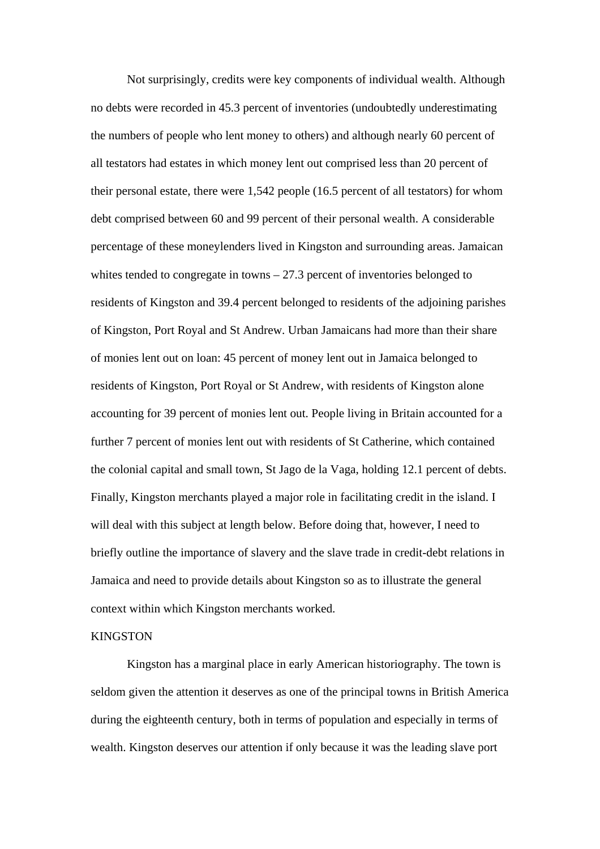Not surprisingly, credits were key components of individual wealth. Although no debts were recorded in 45.3 percent of inventories (undoubtedly underestimating the numbers of people who lent money to others) and although nearly 60 percent of all testators had estates in which money lent out comprised less than 20 percent of their personal estate, there were 1,542 people (16.5 percent of all testators) for whom debt comprised between 60 and 99 percent of their personal wealth. A considerable percentage of these moneylenders lived in Kingston and surrounding areas. Jamaican whites tended to congregate in towns – 27.3 percent of inventories belonged to residents of Kingston and 39.4 percent belonged to residents of the adjoining parishes of Kingston, Port Royal and St Andrew. Urban Jamaicans had more than their share of monies lent out on loan: 45 percent of money lent out in Jamaica belonged to residents of Kingston, Port Royal or St Andrew, with residents of Kingston alone accounting for 39 percent of monies lent out. People living in Britain accounted for a further 7 percent of monies lent out with residents of St Catherine, which contained the colonial capital and small town, St Jago de la Vaga, holding 12.1 percent of debts. Finally, Kingston merchants played a major role in facilitating credit in the island. I will deal with this subject at length below. Before doing that, however, I need to briefly outline the importance of slavery and the slave trade in credit-debt relations in Jamaica and need to provide details about Kingston so as to illustrate the general context within which Kingston merchants worked.

# KINGSTON

Kingston has a marginal place in early American historiography. The town is seldom given the attention it deserves as one of the principal towns in British America during the eighteenth century, both in terms of population and especially in terms of wealth. Kingston deserves our attention if only because it was the leading slave port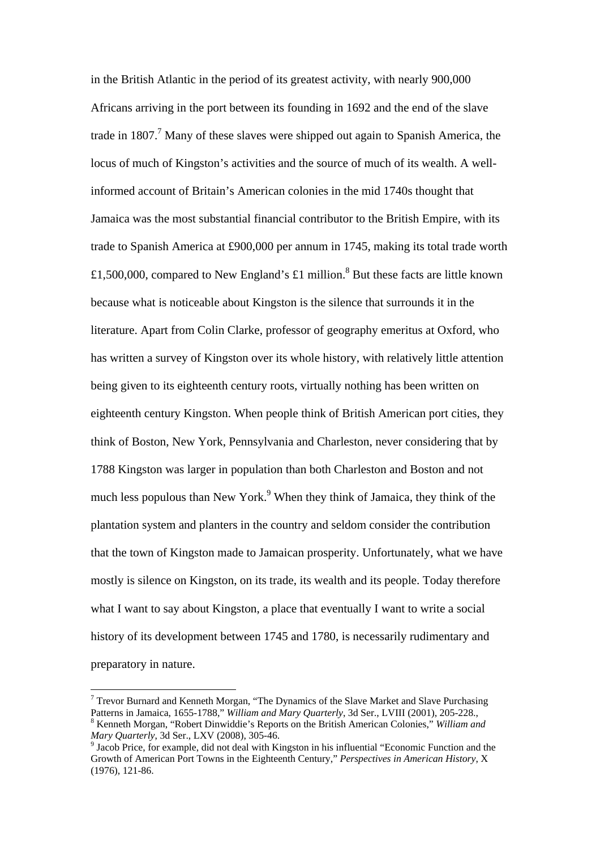in the British Atlantic in the period of its greatest activity, with nearly 900,000 Africans arriving in the port between its founding in 1692 and the end of the slave trade in 1807.<sup>7</sup> Many of these slaves were shipped out again to Spanish America, the locus of much of Kingston's activities and the source of much of its wealth. A wellinformed account of Britain's American colonies in the mid 1740s thought that Jamaica was the most substantial financial contributor to the British Empire, with its trade to Spanish America at £900,000 per annum in 1745, making its total trade worth £1,500,000, compared to New England's £1 million.<sup>[8](#page-12-1)</sup> But these facts are little known because what is noticeable about Kingston is the silence that surrounds it in the literature. Apart from Colin Clarke, professor of geography emeritus at Oxford, who has written a survey of Kingston over its whole history, with relatively little attention being given to its eighteenth century roots, virtually nothing has been written on eighteenth century Kingston. When people think of British American port cities, they think of Boston, New York, Pennsylvania and Charleston, never considering that by 1788 Kingston was larger in population than both Charleston and Boston and not much less populous than New York.<sup>[9](#page-12-2)</sup> When they think of Jamaica, they think of the plantation system and planters in the country and seldom consider the contribution that the town of Kingston made to Jamaican prosperity. Unfortunately, what we have mostly is silence on Kingston, on its trade, its wealth and its people. Today therefore what I want to say about Kingston, a place that eventually I want to write a social history of its development between 1745 and 1780, is necessarily rudimentary and preparatory in nature.

<span id="page-12-0"></span> $7$  Trevor Burnard and Kenneth Morgan, "The Dynamics of the Slave Market and Slave Purchasing Patterns in Jamaica, 1655-1788," *William and Mary Quarterly*, 3d Ser., LVIII (2001), 205-228., 8 Kenneth Morgan, "Robert Dinwiddie's Reports on the British American Colonies," *William and Mary Quarterly*, 3d Ser., LXV (2008), 305-46.

<span id="page-12-2"></span><span id="page-12-1"></span><sup>&</sup>lt;sup>9</sup> Jacob Price, for example, did not deal with Kingston in his influential "Economic Function and the Growth of American Port Towns in the Eighteenth Century," *Perspectives in American History*, X (1976), 121-86.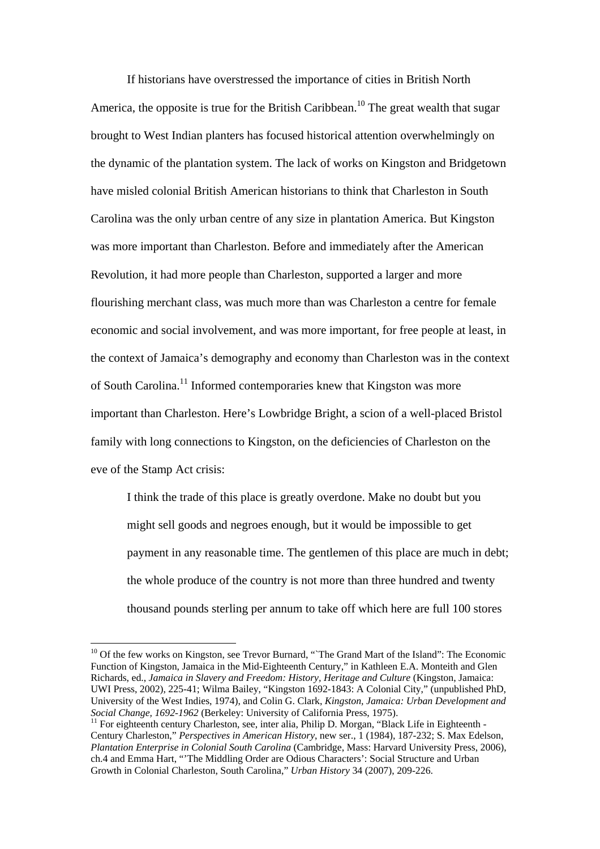If historians have overstressed the importance of cities in British North America, the opposite is true for the British Caribbean.<sup>10</sup> The great wealth that sugar brought to West Indian planters has focused historical attention overwhelmingly on the dynamic of the plantation system. The lack of works on Kingston and Bridgetown have misled colonial British American historians to think that Charleston in South Carolina was the only urban centre of any size in plantation America. But Kingston was more important than Charleston. Before and immediately after the American Revolution, it had more people than Charleston, supported a larger and more flourishing merchant class, was much more than was Charleston a centre for female economic and social involvement, and was more important, for free people at least, in the context of Jamaica's demography and economy than Charleston was in the context of South Carolina.[11 I](#page-13-1)nformed contemporaries knew that Kingston was more important than Charleston. Here's Lowbridge Bright, a scion of a well-placed Bristol family with long connections to Kingston, on the deficiencies of Charleston on the eve of the Stamp Act crisis:

I think the trade of this place is greatly overdone. Make no doubt but you might sell goods and negroes enough, but it would be impossible to get payment in any reasonable time. The gentlemen of this place are much in debt; the whole produce of the country is not more than three hundred and twenty thousand pounds sterling per annum to take off which here are full 100 stores

<span id="page-13-0"></span><sup>&</sup>lt;sup>10</sup> Of the few works on Kingston, see Trevor Burnard, "The Grand Mart of the Island": The Economic Function of Kingston, Jamaica in the Mid-Eighteenth Century," in Kathleen E.A. Monteith and Glen Richards, ed., *Jamaica in Slavery and Freedom: History, Heritage and Culture* (Kingston, Jamaica: UWI Press, 2002), 225-41; Wilma Bailey, "Kingston 1692-1843: A Colonial City," (unpublished PhD, University of the West Indies, 1974), and Colin G. Clark, *Kingston, Jamaica: Urban Development and* 

<span id="page-13-1"></span><sup>&</sup>lt;sup>11</sup> For eighteenth century Charleston, see, inter alia, Philip D. Morgan, "Black Life in Eighteenth -Century Charleston," *Perspectives in American History*, new ser., 1 (1984), 187-232; S. Max Edelson, *Plantation Enterprise in Colonial South Carolina* (Cambridge, Mass: Harvard University Press, 2006), ch.4 and Emma Hart, "'The Middling Order are Odious Characters': Social Structure and Urban Growth in Colonial Charleston, South Carolina," *Urban History* 34 (2007), 209-226.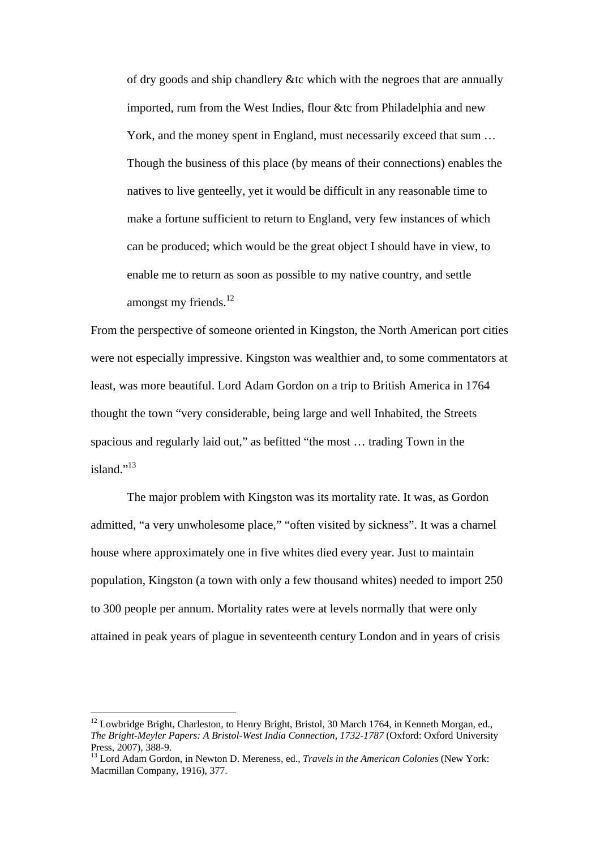of dry goods and ship chandlery &tc which with the negroes that are annually imported, rum from the West Indies, flour &tc from Philadelphia and new York, and the money spent in England, must necessarily exceed that sum … Though the business of this place (by means of their connections) enables the natives to live genteelly, yet it would be difficult in any reasonable time to make a fortune sufficient to return to England, very few instances of which can be produced; which would be the great object I should have in view, to enable me to return as soon as possible to my native country, and settle amongst my friends. $^{12}$ 

From the perspective of someone oriented in Kingston, the North American port cities were not especially impressive. Kingston was wealthier and, to some commentators at least, was more beautiful. Lord Adam Gordon on a trip to British America in 1764 thought the town "very considerable, being large and well Inhabited, the Streets spacious and regularly laid out," as befitted "the most … trading Town in the island." $^{13}$  $^{13}$  $^{13}$ 

 The major problem with Kingston was its mortality rate. It was, as Gordon admitted, "a very unwholesome place," "often visited by sickness". It was a charnel house where approximately one in five whites died every year. Just to maintain population, Kingston (a town with only a few thousand whites) needed to import 250 to 300 people per annum. Mortality rates were at levels normally that were only attained in peak years of plague in seventeenth century London and in years of crisis

<span id="page-14-0"></span> $12$  Lowbridge Bright, Charleston, to Henry Bright, Bristol, 30 March 1764, in Kenneth Morgan, ed., *The Bright-Meyler Papers: A Bristol-West India Connection, 1732-1787* (Oxford: Oxford University Press, 2007), 388-9.

<span id="page-14-1"></span><sup>13</sup> Lord Adam Gordon, in Newton D. Mereness, ed., *Travels in the American Colonies* (New York: Macmillan Company, 1916), 377.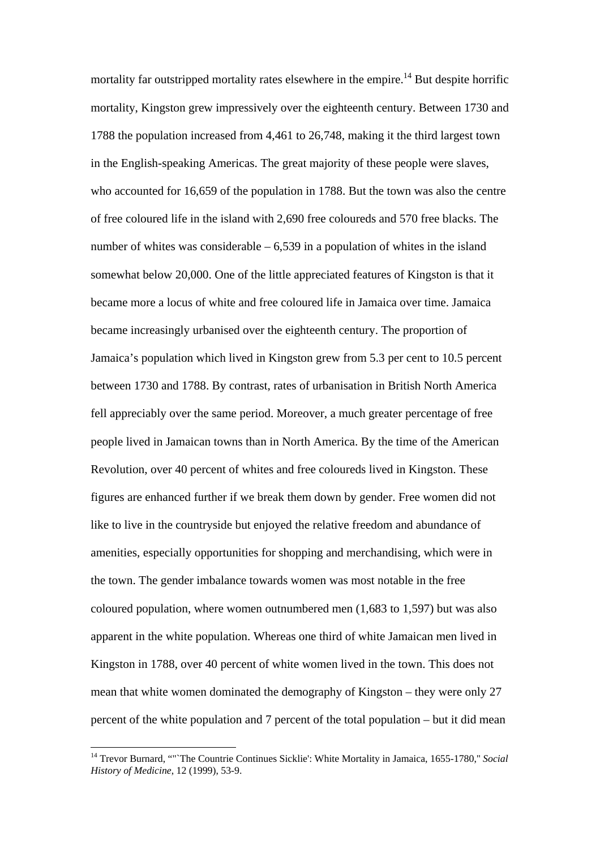mortality far outstripped mortality rates elsewhere in the empire.<sup>14</sup> But despite horrific mortality, Kingston grew impressively over the eighteenth century. Between 1730 and 1788 the population increased from 4,461 to 26,748, making it the third largest town in the English-speaking Americas. The great majority of these people were slaves, who accounted for 16,659 of the population in 1788. But the town was also the centre of free coloured life in the island with 2,690 free coloureds and 570 free blacks. The number of whites was considerable  $-6,539$  in a population of whites in the island somewhat below 20,000. One of the little appreciated features of Kingston is that it became more a locus of white and free coloured life in Jamaica over time. Jamaica became increasingly urbanised over the eighteenth century. The proportion of Jamaica's population which lived in Kingston grew from 5.3 per cent to 10.5 percent between 1730 and 1788. By contrast, rates of urbanisation in British North America fell appreciably over the same period. Moreover, a much greater percentage of free people lived in Jamaican towns than in North America. By the time of the American Revolution, over 40 percent of whites and free coloureds lived in Kingston. These figures are enhanced further if we break them down by gender. Free women did not like to live in the countryside but enjoyed the relative freedom and abundance of amenities, especially opportunities for shopping and merchandising, which were in the town. The gender imbalance towards women was most notable in the free coloured population, where women outnumbered men (1,683 to 1,597) but was also apparent in the white population. Whereas one third of white Jamaican men lived in Kingston in 1788, over 40 percent of white women lived in the town. This does not mean that white women dominated the demography of Kingston – they were only 27 percent of the white population and 7 percent of the total population – but it did mean

<span id="page-15-0"></span><sup>14</sup> Trevor Burnard, ""`The Countrie Continues Sicklie': White Mortality in Jamaica, 1655-1780," *Social History of Medicine*, 12 (1999), 53-9.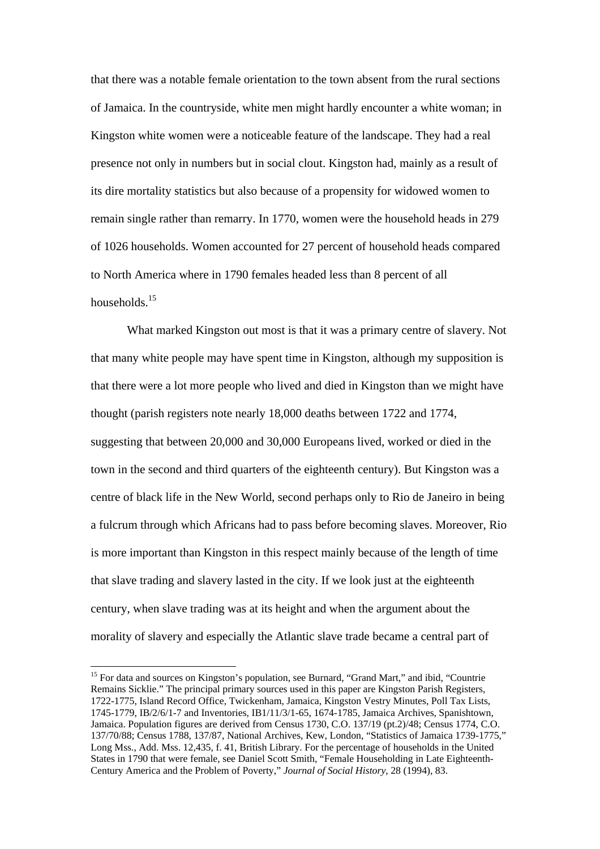that there was a notable female orientation to the town absent from the rural sections of Jamaica. In the countryside, white men might hardly encounter a white woman; in Kingston white women were a noticeable feature of the landscape. They had a real presence not only in numbers but in social clout. Kingston had, mainly as a result of its dire mortality statistics but also because of a propensity for widowed women to remain single rather than remarry. In 1770, women were the household heads in 279 of 1026 households. Women accounted for 27 percent of household heads compared to North America where in 1790 females headed less than 8 percent of all households[.15](#page-16-0) 

What marked Kingston out most is that it was a primary centre of slavery. Not that many white people may have spent time in Kingston, although my supposition is that there were a lot more people who lived and died in Kingston than we might have thought (parish registers note nearly 18,000 deaths between 1722 and 1774, suggesting that between 20,000 and 30,000 Europeans lived, worked or died in the town in the second and third quarters of the eighteenth century). But Kingston was a centre of black life in the New World, second perhaps only to Rio de Janeiro in being a fulcrum through which Africans had to pass before becoming slaves. Moreover, Rio is more important than Kingston in this respect mainly because of the length of time that slave trading and slavery lasted in the city. If we look just at the eighteenth century, when slave trading was at its height and when the argument about the morality of slavery and especially the Atlantic slave trade became a central part of

<span id="page-16-0"></span><sup>&</sup>lt;sup>15</sup> For data and sources on Kingston's population, see Burnard, "Grand Mart," and ibid, "Countrie Remains Sicklie." The principal primary sources used in this paper are Kingston Parish Registers, 1722-1775, Island Record Office, Twickenham, Jamaica, Kingston Vestry Minutes, Poll Tax Lists, 1745-1779, IB/2/6/1-7 and Inventories, IB1/11/3/1-65, 1674-1785, Jamaica Archives, Spanishtown, Jamaica. Population figures are derived from Census 1730, C.O. 137/19 (pt.2)/48; Census 1774, C.O. 137/70/88; Census 1788, 137/87, National Archives, Kew, London, "Statistics of Jamaica 1739-1775," Long Mss., Add. Mss. 12,435, f. 41, British Library. For the percentage of households in the United States in 1790 that were female, see Daniel Scott Smith, "Female Householding in Late Eighteenth-Century America and the Problem of Poverty," *Journal of Social History*, 28 (1994), 83.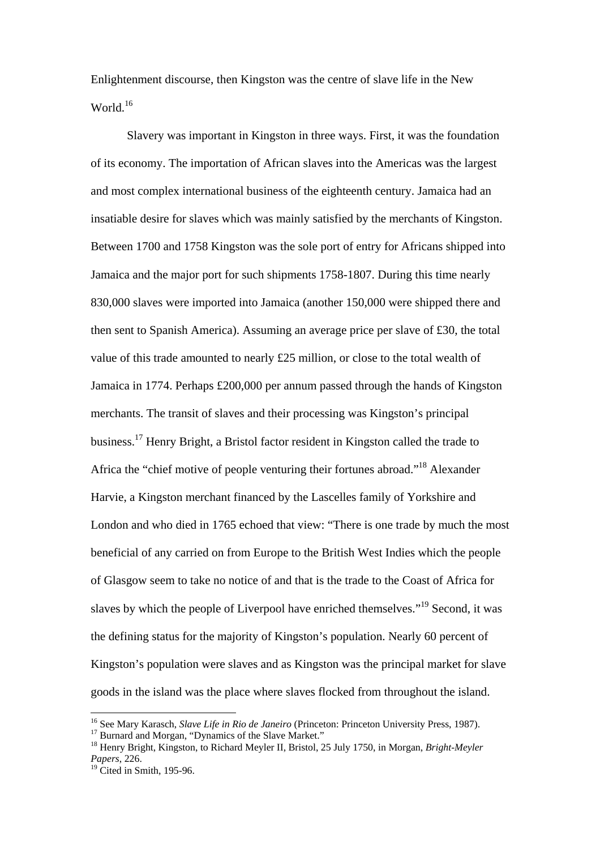Enlightenment discourse, then Kingston was the centre of slave life in the New World.<sup>16</sup>

 Slavery was important in Kingston in three ways. First, it was the foundation of its economy. The importation of African slaves into the Americas was the largest and most complex international business of the eighteenth century. Jamaica had an insatiable desire for slaves which was mainly satisfied by the merchants of Kingston. Between 1700 and 1758 Kingston was the sole port of entry for Africans shipped into Jamaica and the major port for such shipments 1758-1807. During this time nearly 830,000 slaves were imported into Jamaica (another 150,000 were shipped there and then sent to Spanish America). Assuming an average price per slave of £30, the total value of this trade amounted to nearly £25 million, or close to the total wealth of Jamaica in 1774. Perhaps £200,000 per annum passed through the hands of Kingston merchants. The transit of slaves and their processing was Kingston's principal business.[17 H](#page-17-1)enry Bright, a Bristol factor resident in Kingston called the trade to Africa the "chief motive of people venturing their fortunes abroad."[18 A](#page-17-2)lexander Harvie, a Kingston merchant financed by the Lascelles family of Yorkshire and London and who died in 1765 echoed that view: "There is one trade by much the most beneficial of any carried on from Europe to the British West Indies which the people of Glasgow seem to take no notice of and that is the trade to the Coast of Africa for slaves by which the people of Liverpool have enriched themselves."[19 S](#page-17-3)econd, it was the defining status for the majority of Kingston's population. Nearly 60 percent of Kingston's population were slaves and as Kingston was the principal market for slave goods in the island was the place where slaves flocked from throughout the island.

<span id="page-17-0"></span><sup>&</sup>lt;sup>16</sup> See Mary Karasch, *Slave Life in Rio de Janeiro* (Princeton: Princeton University Press, 1987).<br><sup>17</sup> Burnard and Morgan, "Dynamics of the Slave Market."<br><sup>18</sup> Henry Bright, Kingston, to Richard Meyler II, Bristol, 25

<span id="page-17-1"></span>

<span id="page-17-2"></span>*Papers*, 226.

<span id="page-17-3"></span> $^{19}$  Cited in Smith, 195-96.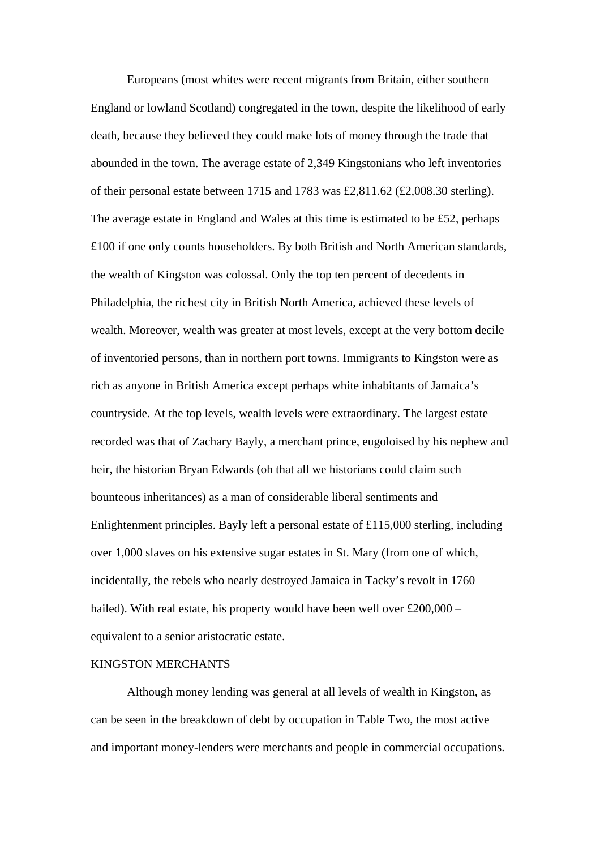Europeans (most whites were recent migrants from Britain, either southern England or lowland Scotland) congregated in the town, despite the likelihood of early death, because they believed they could make lots of money through the trade that abounded in the town. The average estate of 2,349 Kingstonians who left inventories of their personal estate between 1715 and 1783 was £2,811.62 (£2,008.30 sterling). The average estate in England and Wales at this time is estimated to be £52, perhaps £100 if one only counts householders. By both British and North American standards, the wealth of Kingston was colossal. Only the top ten percent of decedents in Philadelphia, the richest city in British North America, achieved these levels of wealth. Moreover, wealth was greater at most levels, except at the very bottom decile of inventoried persons, than in northern port towns. Immigrants to Kingston were as rich as anyone in British America except perhaps white inhabitants of Jamaica's countryside. At the top levels, wealth levels were extraordinary. The largest estate recorded was that of Zachary Bayly, a merchant prince, eugoloised by his nephew and heir, the historian Bryan Edwards (oh that all we historians could claim such bounteous inheritances) as a man of considerable liberal sentiments and Enlightenment principles. Bayly left a personal estate of £115,000 sterling, including over 1,000 slaves on his extensive sugar estates in St. Mary (from one of which, incidentally, the rebels who nearly destroyed Jamaica in Tacky's revolt in 1760 hailed). With real estate, his property would have been well over £200,000 – equivalent to a senior aristocratic estate.

# KINGSTON MERCHANTS

 Although money lending was general at all levels of wealth in Kingston, as can be seen in the breakdown of debt by occupation in Table Two, the most active and important money-lenders were merchants and people in commercial occupations.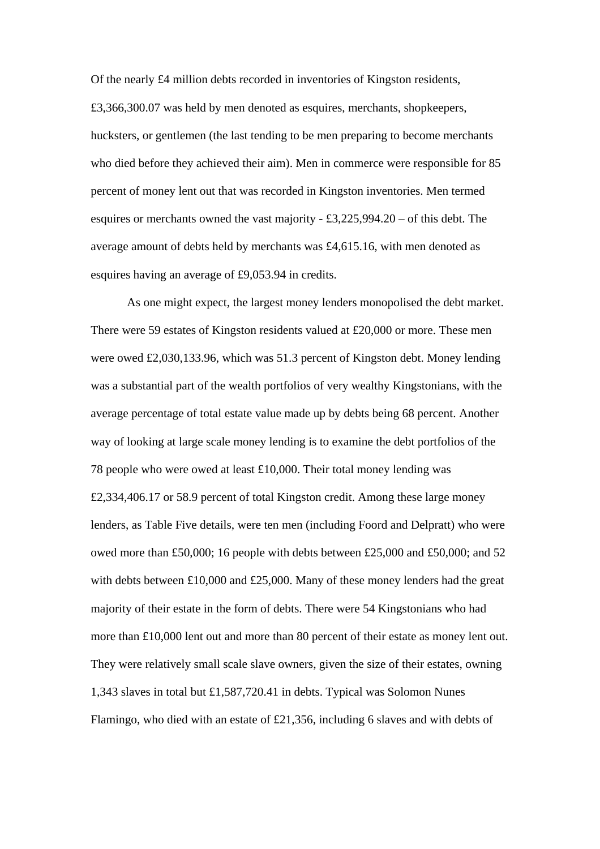Of the nearly £4 million debts recorded in inventories of Kingston residents, £3,366,300.07 was held by men denoted as esquires, merchants, shopkeepers, hucksters, or gentlemen (the last tending to be men preparing to become merchants who died before they achieved their aim). Men in commerce were responsible for 85 percent of money lent out that was recorded in Kingston inventories. Men termed esquires or merchants owned the vast majority - £3,225,994.20 – of this debt. The average amount of debts held by merchants was £4,615.16, with men denoted as esquires having an average of £9,053.94 in credits.

 As one might expect, the largest money lenders monopolised the debt market. There were 59 estates of Kingston residents valued at £20,000 or more. These men were owed £2,030,133.96, which was 51.3 percent of Kingston debt. Money lending was a substantial part of the wealth portfolios of very wealthy Kingstonians, with the average percentage of total estate value made up by debts being 68 percent. Another way of looking at large scale money lending is to examine the debt portfolios of the 78 people who were owed at least £10,000. Their total money lending was £2,334,406.17 or 58.9 percent of total Kingston credit. Among these large money lenders, as Table Five details, were ten men (including Foord and Delpratt) who were owed more than £50,000; 16 people with debts between £25,000 and £50,000; and 52 with debts between £10,000 and £25,000. Many of these money lenders had the great majority of their estate in the form of debts. There were 54 Kingstonians who had more than £10,000 lent out and more than 80 percent of their estate as money lent out. They were relatively small scale slave owners, given the size of their estates, owning 1,343 slaves in total but £1,587,720.41 in debts. Typical was Solomon Nunes Flamingo, who died with an estate of £21,356, including 6 slaves and with debts of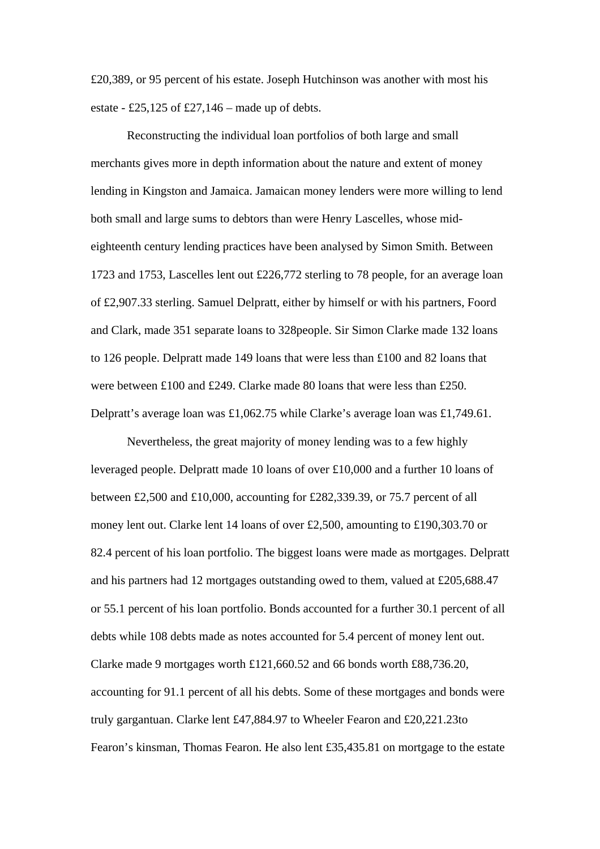£20,389, or 95 percent of his estate. Joseph Hutchinson was another with most his estate - £25,125 of £27,146 – made up of debts.

 Reconstructing the individual loan portfolios of both large and small merchants gives more in depth information about the nature and extent of money lending in Kingston and Jamaica. Jamaican money lenders were more willing to lend both small and large sums to debtors than were Henry Lascelles, whose mideighteenth century lending practices have been analysed by Simon Smith. Between 1723 and 1753, Lascelles lent out £226,772 sterling to 78 people, for an average loan of £2,907.33 sterling. Samuel Delpratt, either by himself or with his partners, Foord and Clark, made 351 separate loans to 328people. Sir Simon Clarke made 132 loans to 126 people. Delpratt made 149 loans that were less than £100 and 82 loans that were between £100 and £249. Clarke made 80 loans that were less than £250. Delpratt's average loan was £1,062.75 while Clarke's average loan was £1,749.61.

 Nevertheless, the great majority of money lending was to a few highly leveraged people. Delpratt made 10 loans of over £10,000 and a further 10 loans of between £2,500 and £10,000, accounting for £282,339.39, or 75.7 percent of all money lent out. Clarke lent 14 loans of over £2,500, amounting to £190,303.70 or 82.4 percent of his loan portfolio. The biggest loans were made as mortgages. Delpratt and his partners had 12 mortgages outstanding owed to them, valued at £205,688.47 or 55.1 percent of his loan portfolio. Bonds accounted for a further 30.1 percent of all debts while 108 debts made as notes accounted for 5.4 percent of money lent out. Clarke made 9 mortgages worth £121,660.52 and 66 bonds worth £88,736.20, accounting for 91.1 percent of all his debts. Some of these mortgages and bonds were truly gargantuan. Clarke lent £47,884.97 to Wheeler Fearon and £20,221.23to Fearon's kinsman, Thomas Fearon. He also lent £35,435.81 on mortgage to the estate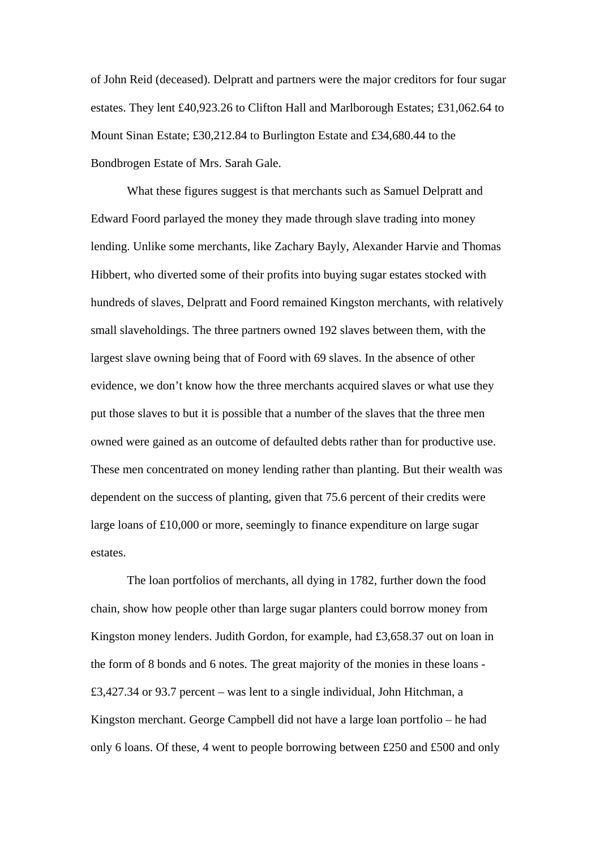of John Reid (deceased). Delpratt and partners were the major creditors for four sugar estates. They lent £40,923.26 to Clifton Hall and Marlborough Estates; £31,062.64 to Mount Sinan Estate; £30,212.84 to Burlington Estate and £34,680.44 to the Bondbrogen Estate of Mrs. Sarah Gale.

 What these figures suggest is that merchants such as Samuel Delpratt and Edward Foord parlayed the money they made through slave trading into money lending. Unlike some merchants, like Zachary Bayly, Alexander Harvie and Thomas Hibbert, who diverted some of their profits into buying sugar estates stocked with hundreds of slaves, Delpratt and Foord remained Kingston merchants, with relatively small slaveholdings. The three partners owned 192 slaves between them, with the largest slave owning being that of Foord with 69 slaves. In the absence of other evidence, we don't know how the three merchants acquired slaves or what use they put those slaves to but it is possible that a number of the slaves that the three men owned were gained as an outcome of defaulted debts rather than for productive use. These men concentrated on money lending rather than planting. But their wealth was dependent on the success of planting, given that 75.6 percent of their credits were large loans of £10,000 or more, seemingly to finance expenditure on large sugar estates.

 The loan portfolios of merchants, all dying in 1782, further down the food chain, show how people other than large sugar planters could borrow money from Kingston money lenders. Judith Gordon, for example, had £3,658.37 out on loan in the form of 8 bonds and 6 notes. The great majority of the monies in these loans - £3,427.34 or 93.7 percent – was lent to a single individual, John Hitchman, a Kingston merchant. George Campbell did not have a large loan portfolio – he had only 6 loans. Of these, 4 went to people borrowing between £250 and £500 and only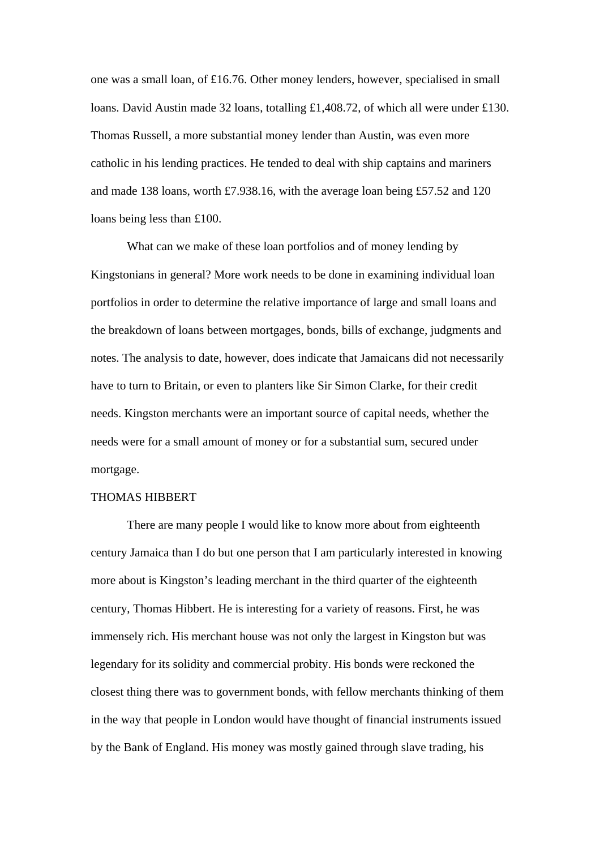one was a small loan, of £16.76. Other money lenders, however, specialised in small loans. David Austin made 32 loans, totalling £1,408.72, of which all were under £130. Thomas Russell, a more substantial money lender than Austin, was even more catholic in his lending practices. He tended to deal with ship captains and mariners and made 138 loans, worth £7.938.16, with the average loan being £57.52 and 120 loans being less than £100.

 What can we make of these loan portfolios and of money lending by Kingstonians in general? More work needs to be done in examining individual loan portfolios in order to determine the relative importance of large and small loans and the breakdown of loans between mortgages, bonds, bills of exchange, judgments and notes. The analysis to date, however, does indicate that Jamaicans did not necessarily have to turn to Britain, or even to planters like Sir Simon Clarke, for their credit needs. Kingston merchants were an important source of capital needs, whether the needs were for a small amount of money or for a substantial sum, secured under mortgage.

#### THOMAS HIBBERT

There are many people I would like to know more about from eighteenth century Jamaica than I do but one person that I am particularly interested in knowing more about is Kingston's leading merchant in the third quarter of the eighteenth century, Thomas Hibbert. He is interesting for a variety of reasons. First, he was immensely rich. His merchant house was not only the largest in Kingston but was legendary for its solidity and commercial probity. His bonds were reckoned the closest thing there was to government bonds, with fellow merchants thinking of them in the way that people in London would have thought of financial instruments issued by the Bank of England. His money was mostly gained through slave trading, his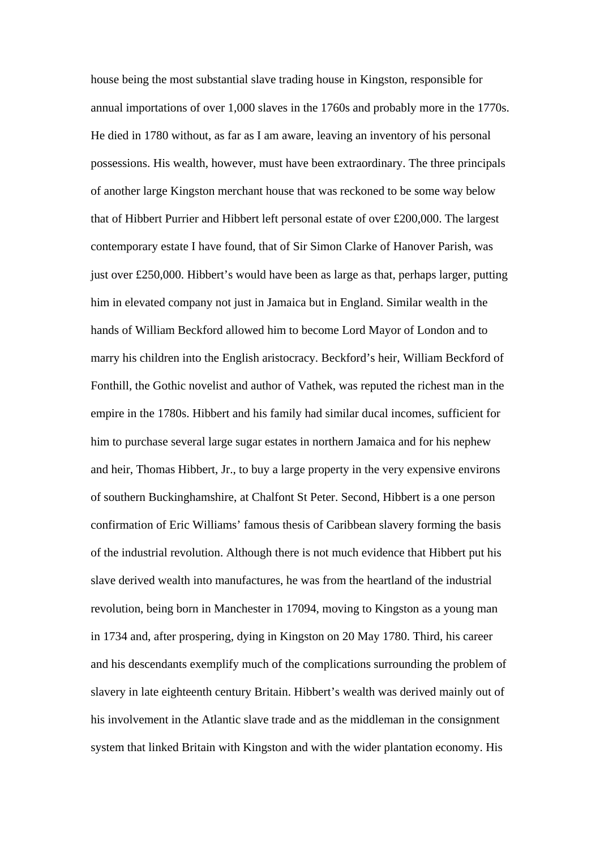house being the most substantial slave trading house in Kingston, responsible for annual importations of over 1,000 slaves in the 1760s and probably more in the 1770s. He died in 1780 without, as far as I am aware, leaving an inventory of his personal possessions. His wealth, however, must have been extraordinary. The three principals of another large Kingston merchant house that was reckoned to be some way below that of Hibbert Purrier and Hibbert left personal estate of over £200,000. The largest contemporary estate I have found, that of Sir Simon Clarke of Hanover Parish, was just over £250,000. Hibbert's would have been as large as that, perhaps larger, putting him in elevated company not just in Jamaica but in England. Similar wealth in the hands of William Beckford allowed him to become Lord Mayor of London and to marry his children into the English aristocracy. Beckford's heir, William Beckford of Fonthill, the Gothic novelist and author of Vathek, was reputed the richest man in the empire in the 1780s. Hibbert and his family had similar ducal incomes, sufficient for him to purchase several large sugar estates in northern Jamaica and for his nephew and heir, Thomas Hibbert, Jr., to buy a large property in the very expensive environs of southern Buckinghamshire, at Chalfont St Peter. Second, Hibbert is a one person confirmation of Eric Williams' famous thesis of Caribbean slavery forming the basis of the industrial revolution. Although there is not much evidence that Hibbert put his slave derived wealth into manufactures, he was from the heartland of the industrial revolution, being born in Manchester in 17094, moving to Kingston as a young man in 1734 and, after prospering, dying in Kingston on 20 May 1780. Third, his career and his descendants exemplify much of the complications surrounding the problem of slavery in late eighteenth century Britain. Hibbert's wealth was derived mainly out of his involvement in the Atlantic slave trade and as the middleman in the consignment system that linked Britain with Kingston and with the wider plantation economy. His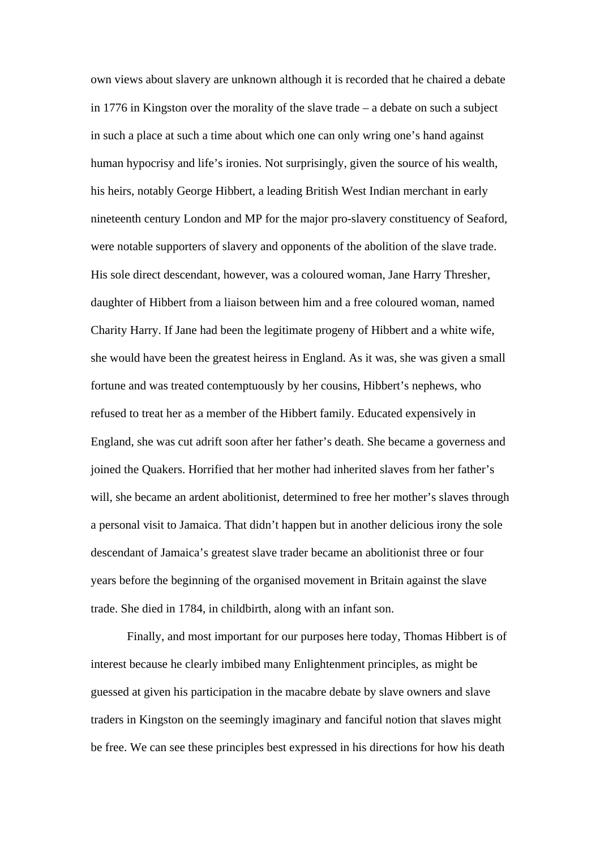own views about slavery are unknown although it is recorded that he chaired a debate in 1776 in Kingston over the morality of the slave trade – a debate on such a subject in such a place at such a time about which one can only wring one's hand against human hypocrisy and life's ironies. Not surprisingly, given the source of his wealth, his heirs, notably George Hibbert, a leading British West Indian merchant in early nineteenth century London and MP for the major pro-slavery constituency of Seaford, were notable supporters of slavery and opponents of the abolition of the slave trade. His sole direct descendant, however, was a coloured woman, Jane Harry Thresher, daughter of Hibbert from a liaison between him and a free coloured woman, named Charity Harry. If Jane had been the legitimate progeny of Hibbert and a white wife, she would have been the greatest heiress in England. As it was, she was given a small fortune and was treated contemptuously by her cousins, Hibbert's nephews, who refused to treat her as a member of the Hibbert family. Educated expensively in England, she was cut adrift soon after her father's death. She became a governess and joined the Quakers. Horrified that her mother had inherited slaves from her father's will, she became an ardent abolitionist, determined to free her mother's slaves through a personal visit to Jamaica. That didn't happen but in another delicious irony the sole descendant of Jamaica's greatest slave trader became an abolitionist three or four years before the beginning of the organised movement in Britain against the slave trade. She died in 1784, in childbirth, along with an infant son.

 Finally, and most important for our purposes here today, Thomas Hibbert is of interest because he clearly imbibed many Enlightenment principles, as might be guessed at given his participation in the macabre debate by slave owners and slave traders in Kingston on the seemingly imaginary and fanciful notion that slaves might be free. We can see these principles best expressed in his directions for how his death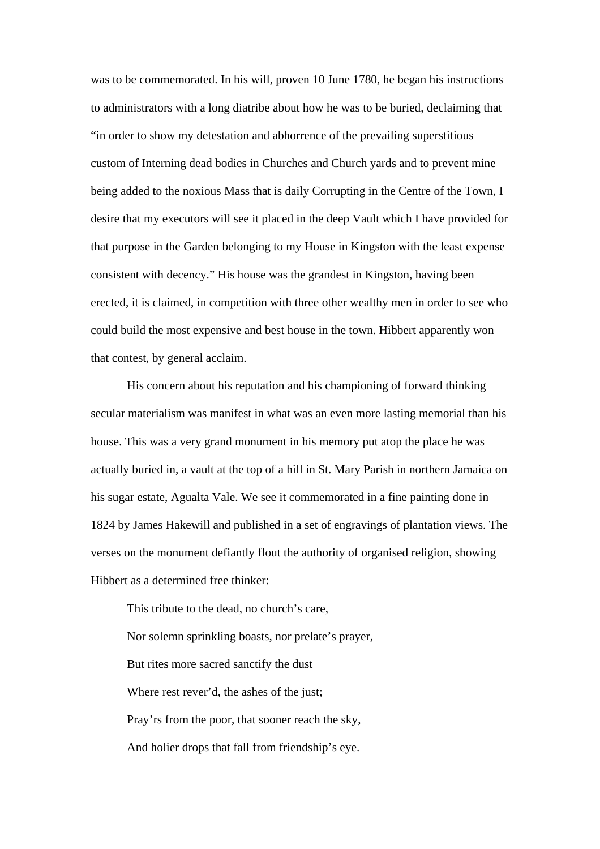was to be commemorated. In his will, proven 10 June 1780, he began his instructions to administrators with a long diatribe about how he was to be buried, declaiming that "in order to show my detestation and abhorrence of the prevailing superstitious custom of Interning dead bodies in Churches and Church yards and to prevent mine being added to the noxious Mass that is daily Corrupting in the Centre of the Town, I desire that my executors will see it placed in the deep Vault which I have provided for that purpose in the Garden belonging to my House in Kingston with the least expense consistent with decency." His house was the grandest in Kingston, having been erected, it is claimed, in competition with three other wealthy men in order to see who could build the most expensive and best house in the town. Hibbert apparently won that contest, by general acclaim.

 His concern about his reputation and his championing of forward thinking secular materialism was manifest in what was an even more lasting memorial than his house. This was a very grand monument in his memory put atop the place he was actually buried in, a vault at the top of a hill in St. Mary Parish in northern Jamaica on his sugar estate, Agualta Vale. We see it commemorated in a fine painting done in 1824 by James Hakewill and published in a set of engravings of plantation views. The verses on the monument defiantly flout the authority of organised religion, showing Hibbert as a determined free thinker:

This tribute to the dead, no church's care, Nor solemn sprinkling boasts, nor prelate's prayer, But rites more sacred sanctify the dust Where rest rever'd, the ashes of the just; Pray'rs from the poor, that sooner reach the sky, And holier drops that fall from friendship's eye.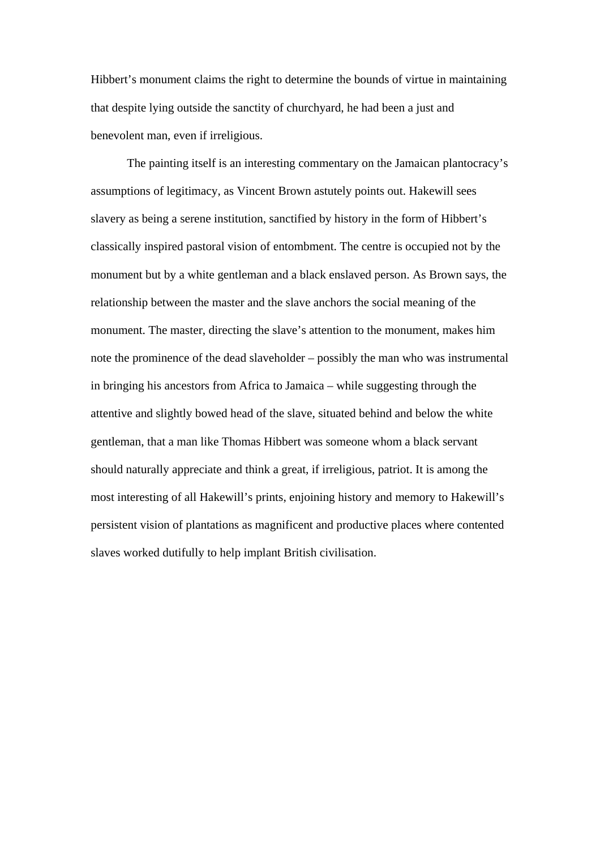Hibbert's monument claims the right to determine the bounds of virtue in maintaining that despite lying outside the sanctity of churchyard, he had been a just and benevolent man, even if irreligious.

 The painting itself is an interesting commentary on the Jamaican plantocracy's assumptions of legitimacy, as Vincent Brown astutely points out. Hakewill sees slavery as being a serene institution, sanctified by history in the form of Hibbert's classically inspired pastoral vision of entombment. The centre is occupied not by the monument but by a white gentleman and a black enslaved person. As Brown says, the relationship between the master and the slave anchors the social meaning of the monument. The master, directing the slave's attention to the monument, makes him note the prominence of the dead slaveholder – possibly the man who was instrumental in bringing his ancestors from Africa to Jamaica – while suggesting through the attentive and slightly bowed head of the slave, situated behind and below the white gentleman, that a man like Thomas Hibbert was someone whom a black servant should naturally appreciate and think a great, if irreligious, patriot. It is among the most interesting of all Hakewill's prints, enjoining history and memory to Hakewill's persistent vision of plantations as magnificent and productive places where contented slaves worked dutifully to help implant British civilisation.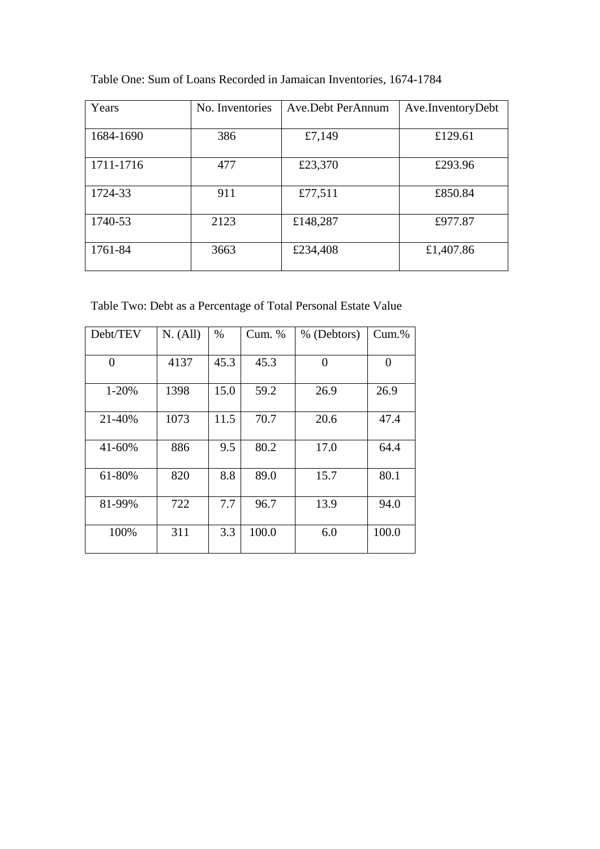| Years     | No. Inventories | Ave.Debt PerAnnum | Ave.InventoryDebt |
|-----------|-----------------|-------------------|-------------------|
| 1684-1690 | 386             | £7,149            | £129.61           |
| 1711-1716 | 477             | £23,370           | £293.96           |
| 1724-33   | 911             | £77,511           | £850.84           |
| 1740-53   | 2123            | £148,287          | £977.87           |
| 1761-84   | 3663            | £234,408          | £1,407.86         |

Table One: Sum of Loans Recorded in Jamaican Inventories, 1674-1784

Table Two: Debt as a Percentage of Total Personal Estate Value

| Debt/TEV | N. (All) | $\%$ | Cum. % | % (Debtors) | $Cum.$ % |
|----------|----------|------|--------|-------------|----------|
| 0        | 4137     | 45.3 | 45.3   | $\Omega$    | 0        |
| 1-20%    | 1398     | 15.0 | 59.2   | 26.9        | 26.9     |
| 21-40%   | 1073     | 11.5 | 70.7   | 20.6        | 47.4     |
| 41-60%   | 886      | 9.5  | 80.2   | 17.0        | 64.4     |
| 61-80%   | 820      | 8.8  | 89.0   | 15.7        | 80.1     |
| 81-99%   | 722      | 7.7  | 96.7   | 13.9        | 94.0     |
| 100%     | 311      | 3.3  | 100.0  | 6.0         | 100.0    |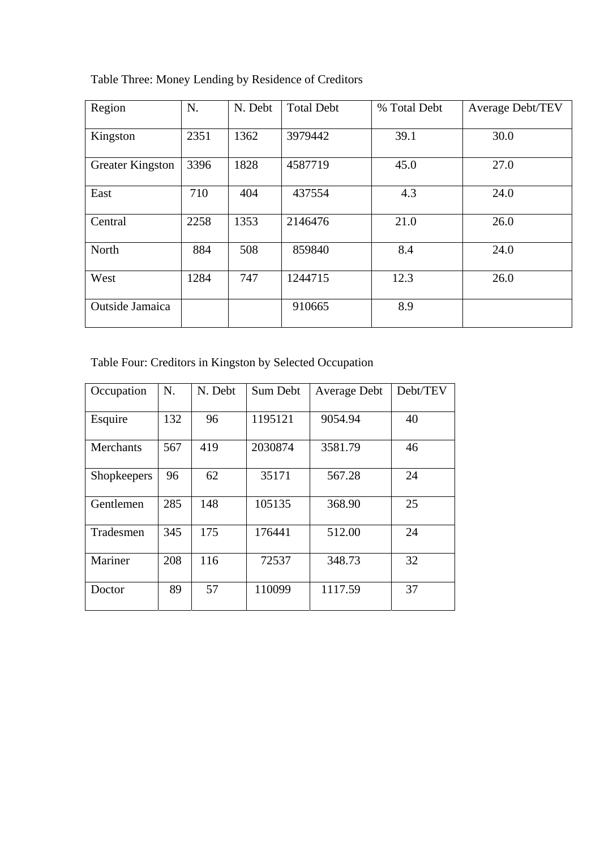Table Three: Money Lending by Residence of Creditors

| Region                  | N.   | N. Debt | <b>Total Debt</b> | % Total Debt | Average Debt/TEV |
|-------------------------|------|---------|-------------------|--------------|------------------|
| Kingston                | 2351 | 1362    | 3979442           | 39.1         | 30.0             |
| <b>Greater Kingston</b> | 3396 | 1828    | 4587719           | 45.0         | 27.0             |
| East                    | 710  | 404     | 437554            | 4.3          | 24.0             |
| Central                 | 2258 | 1353    | 2146476           | 21.0         | 26.0             |
| North                   | 884  | 508     | 859840            | 8.4          | 24.0             |
| West                    | 1284 | 747     | 1244715           | 12.3         | 26.0             |
| Outside Jamaica         |      |         | 910665            | 8.9          |                  |

Table Four: Creditors in Kingston by Selected Occupation

| Occupation         | N.  | N. Debt | Sum Debt | Average Debt | Debt/TEV |
|--------------------|-----|---------|----------|--------------|----------|
| Esquire            | 132 | 96      | 1195121  | 9054.94      | 40       |
| Merchants          | 567 | 419     | 2030874  | 3581.79      | 46       |
| <b>Shopkeepers</b> | 96  | 62      | 35171    | 567.28       | 24       |
| Gentlemen          | 285 | 148     | 105135   | 368.90       | 25       |
| Tradesmen          | 345 | 175     | 176441   | 512.00       | 24       |
| Mariner            | 208 | 116     | 72537    | 348.73       | 32       |
| Doctor             | 89  | 57      | 110099   | 1117.59      | 37       |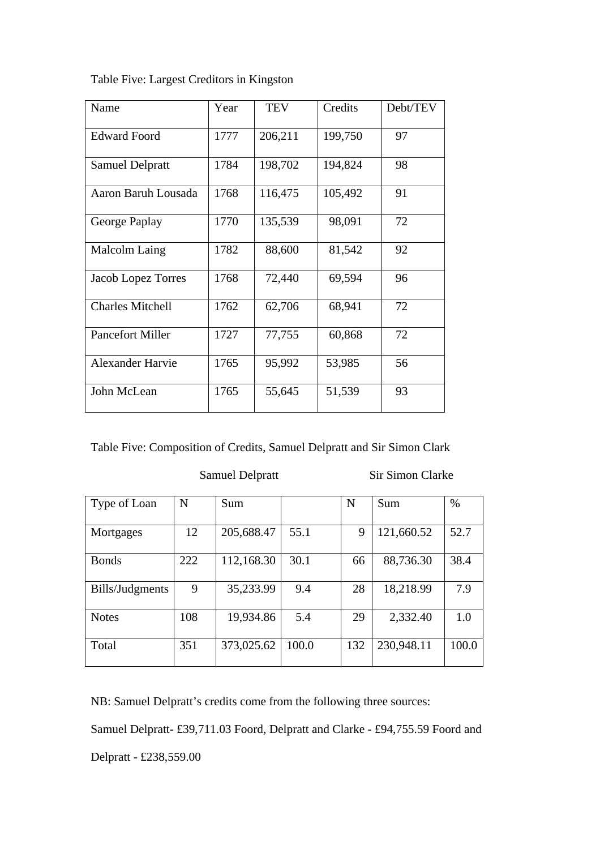Table Five: Largest Creditors in Kingston

| Name                    | Year | <b>TEV</b> | Credits | Debt/TEV |
|-------------------------|------|------------|---------|----------|
| <b>Edward Foord</b>     | 1777 | 206,211    | 199,750 | 97       |
| <b>Samuel Delpratt</b>  | 1784 | 198,702    | 194,824 | 98       |
| Aaron Baruh Lousada     | 1768 | 116,475    | 105,492 | 91       |
| George Paplay           | 1770 | 135,539    | 98,091  | 72       |
| Malcolm Laing           | 1782 | 88,600     | 81,542  | 92       |
| Jacob Lopez Torres      | 1768 | 72,440     | 69,594  | 96       |
| <b>Charles Mitchell</b> | 1762 | 62,706     | 68,941  | 72       |
| <b>Pancefort Miller</b> | 1727 | 77,755     | 60,868  | 72       |
| <b>Alexander Harvie</b> | 1765 | 95,992     | 53,985  | 56       |
| John McLean             | 1765 | 55,645     | 51,539  | 93       |

Samuel Delpratt Sir Simon Clarke

| Type of Loan    | N   | Sum        |       | N   | Sum        | $\%$  |
|-----------------|-----|------------|-------|-----|------------|-------|
| Mortgages       | 12  | 205,688.47 | 55.1  | 9   | 121,660.52 | 52.7  |
| <b>Bonds</b>    | 222 | 112,168.30 | 30.1  | 66  | 88,736.30  | 38.4  |
| Bills/Judgments | 9   | 35,233.99  | 9.4   | 28  | 18,218.99  | 7.9   |
| <b>Notes</b>    | 108 | 19,934.86  | 5.4   | 29  | 2,332.40   | 1.0   |
| Total           | 351 | 373,025.62 | 100.0 | 132 | 230,948.11 | 100.0 |

NB: Samuel Delpratt's credits come from the following three sources:

Samuel Delpratt- £39,711.03 Foord, Delpratt and Clarke - £94,755.59 Foord and

Delpratt - £238,559.00